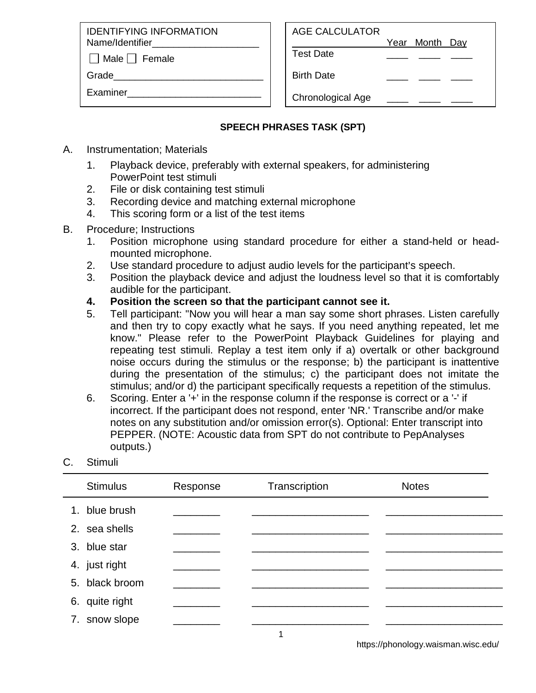IDENTIFYING INFORMATION Name/Identifier

 $\Box$  Male  $\Box$  Female

Grade

Examiner\_\_\_\_\_\_\_\_\_\_\_\_\_\_\_\_\_\_\_\_\_\_\_\_\_

| AGE CALCULATOR |                |  |
|----------------|----------------|--|
|                | Year Month Day |  |

Test Date \_\_\_\_ \_\_\_\_ \_\_\_\_

Birth Date

Chronological Age

## **SPEECH PHRASES TASK (SPT)**

- A. Instrumentation; Materials
	- 1. Playback device, preferably with external speakers, for administering PowerPoint test stimuli
	- 2. File or disk containing test stimuli
	- 3. Recording device and matching external microphone
	- 4. This scoring form or a list of the test items
- B. Procedure; Instructions
	- 1. Position microphone using standard procedure for either a stand-held or headmounted microphone.
	- 2. Use standard procedure to adjust audio levels for the participant's speech.
	- 3. Position the playback device and adjust the loudness level so that it is comfortably audible for the participant.
	- **4. Position the screen so that the participant cannot see it.**
	- 5. Tell participant: "Now you will hear a man say some short phrases. Listen carefully and then try to copy exactly what he says. If you need anything repeated, let me know." Please refer to the PowerPoint Playback Guidelines for playing and repeating test stimuli. Replay a test item only if a) overtalk or other background noise occurs during the stimulus or the response; b) the participant is inattentive during the presentation of the stimulus; c) the participant does not imitate the stimulus; and/or d) the participant specifically requests a repetition of the stimulus.
	- 6. Scoring. Enter a '+' in the response column if the response is correct or a '-' if incorrect. If the participant does not respond, enter 'NR.' Transcribe and/or make notes on any substitution and/or omission error(s). Optional: Enter transcript into PEPPER. (NOTE: Acoustic data from SPT do not contribute to PepAnalyses outputs.)

## C. Stimuli

| <b>Stimulus</b> | Response | Transcription | <b>Notes</b> |  |
|-----------------|----------|---------------|--------------|--|
| 1. blue brush   |          |               |              |  |
| 2. sea shells   |          |               |              |  |
| 3. blue star    |          |               |              |  |
| 4. just right   |          |               |              |  |
| 5. black broom  |          |               |              |  |
| 6. quite right  |          |               |              |  |
| 7. snow slope   |          |               |              |  |